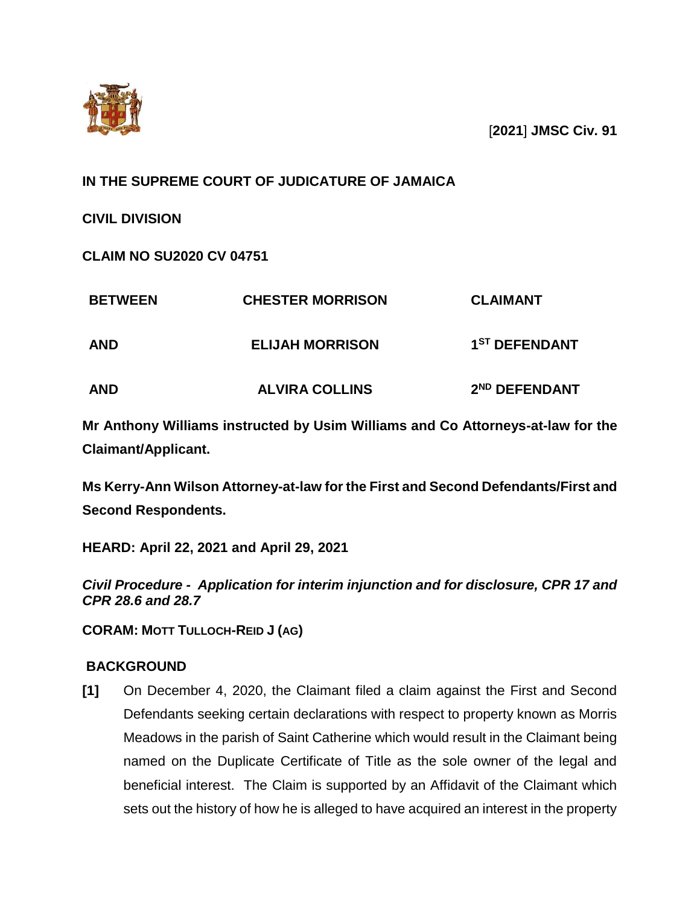

[**2021**] **JMSC Civ. 91**

# **IN THE SUPREME COURT OF JUDICATURE OF JAMAICA**

**CIVIL DIVISION**

**CLAIM NO SU2020 CV 04751**

| <b>BETWEEN</b><br><b>AND</b> | <b>CHESTER MORRISON</b><br><b>ELIJAH MORRISON</b> | <b>CLAIMANT</b><br>1 <sup>ST</sup> DEFENDANT |
|------------------------------|---------------------------------------------------|----------------------------------------------|
|                              |                                                   |                                              |

**Mr Anthony Williams instructed by Usim Williams and Co Attorneys-at-law for the Claimant/Applicant.**

**Ms Kerry-Ann Wilson Attorney-at-law for the First and Second Defendants/First and Second Respondents.**

**HEARD: April 22, 2021 and April 29, 2021**

*Civil Procedure - Application for interim injunction and for disclosure, CPR 17 and CPR 28.6 and 28.7*

**CORAM: MOTT TULLOCH-REID J (AG)**

## **BACKGROUND**

**[1]** On December 4, 2020, the Claimant filed a claim against the First and Second Defendants seeking certain declarations with respect to property known as Morris Meadows in the parish of Saint Catherine which would result in the Claimant being named on the Duplicate Certificate of Title as the sole owner of the legal and beneficial interest. The Claim is supported by an Affidavit of the Claimant which sets out the history of how he is alleged to have acquired an interest in the property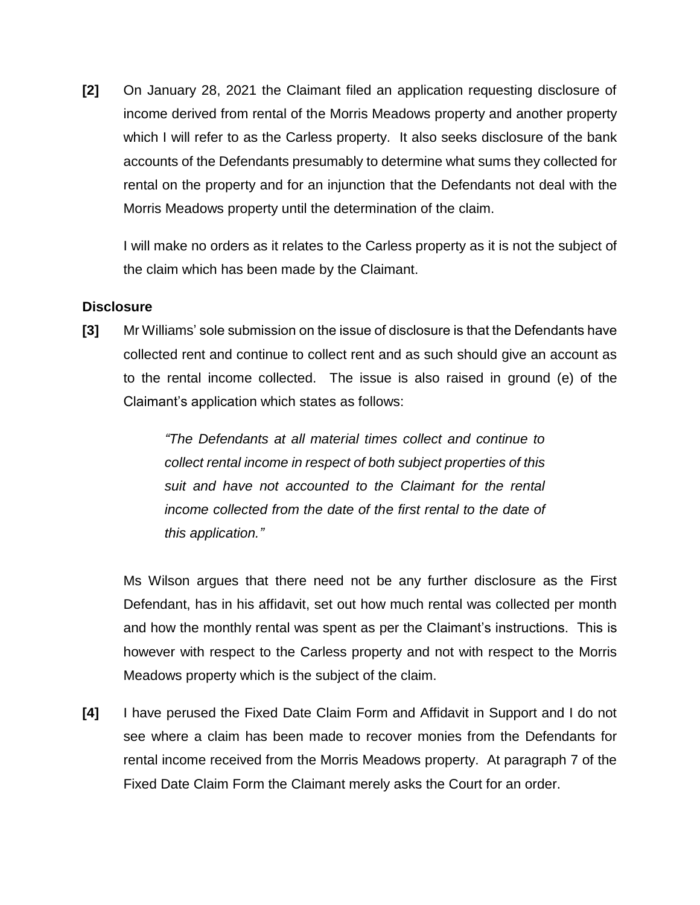**[2]** On January 28, 2021 the Claimant filed an application requesting disclosure of income derived from rental of the Morris Meadows property and another property which I will refer to as the Carless property. It also seeks disclosure of the bank accounts of the Defendants presumably to determine what sums they collected for rental on the property and for an injunction that the Defendants not deal with the Morris Meadows property until the determination of the claim.

I will make no orders as it relates to the Carless property as it is not the subject of the claim which has been made by the Claimant.

## **Disclosure**

**[3]** Mr Williams' sole submission on the issue of disclosure is that the Defendants have collected rent and continue to collect rent and as such should give an account as to the rental income collected. The issue is also raised in ground (e) of the Claimant's application which states as follows:

> *"The Defendants at all material times collect and continue to collect rental income in respect of both subject properties of this suit and have not accounted to the Claimant for the rental income collected from the date of the first rental to the date of this application."*

Ms Wilson argues that there need not be any further disclosure as the First Defendant, has in his affidavit, set out how much rental was collected per month and how the monthly rental was spent as per the Claimant's instructions. This is however with respect to the Carless property and not with respect to the Morris Meadows property which is the subject of the claim.

**[4]** I have perused the Fixed Date Claim Form and Affidavit in Support and I do not see where a claim has been made to recover monies from the Defendants for rental income received from the Morris Meadows property. At paragraph 7 of the Fixed Date Claim Form the Claimant merely asks the Court for an order.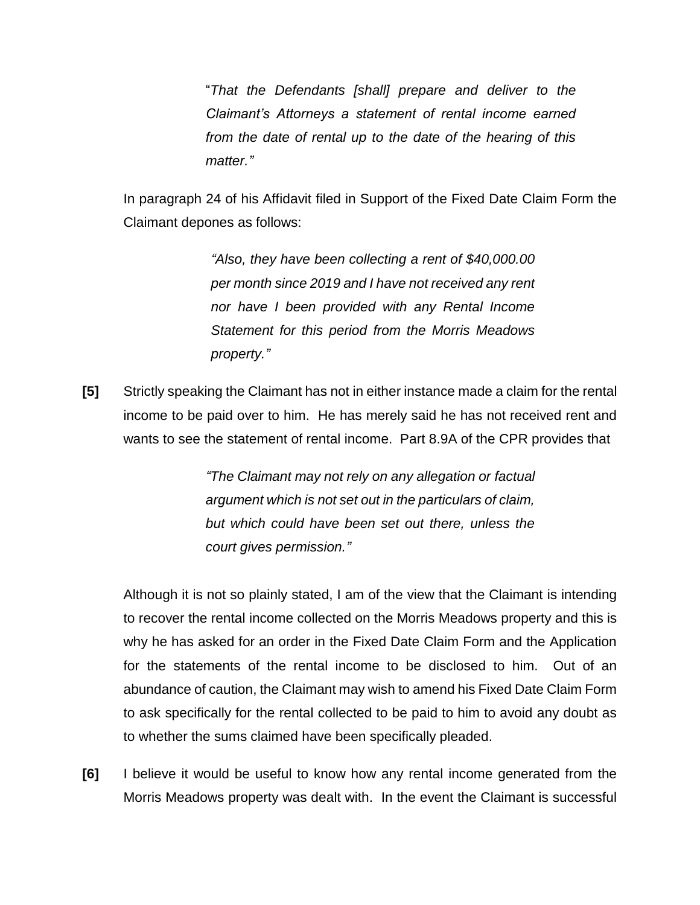"*That the Defendants [shall] prepare and deliver to the Claimant's Attorneys a statement of rental income earned from the date of rental up to the date of the hearing of this matter."*

In paragraph 24 of his Affidavit filed in Support of the Fixed Date Claim Form the Claimant depones as follows:

> *"Also, they have been collecting a rent of \$40,000.00 per month since 2019 and I have not received any rent nor have I been provided with any Rental Income Statement for this period from the Morris Meadows property."*

**[5]** Strictly speaking the Claimant has not in either instance made a claim for the rental income to be paid over to him. He has merely said he has not received rent and wants to see the statement of rental income. Part 8.9A of the CPR provides that

> *"The Claimant may not rely on any allegation or factual argument which is not set out in the particulars of claim, but which could have been set out there, unless the court gives permission."*

Although it is not so plainly stated, I am of the view that the Claimant is intending to recover the rental income collected on the Morris Meadows property and this is why he has asked for an order in the Fixed Date Claim Form and the Application for the statements of the rental income to be disclosed to him. Out of an abundance of caution, the Claimant may wish to amend his Fixed Date Claim Form to ask specifically for the rental collected to be paid to him to avoid any doubt as to whether the sums claimed have been specifically pleaded.

**[6]** I believe it would be useful to know how any rental income generated from the Morris Meadows property was dealt with. In the event the Claimant is successful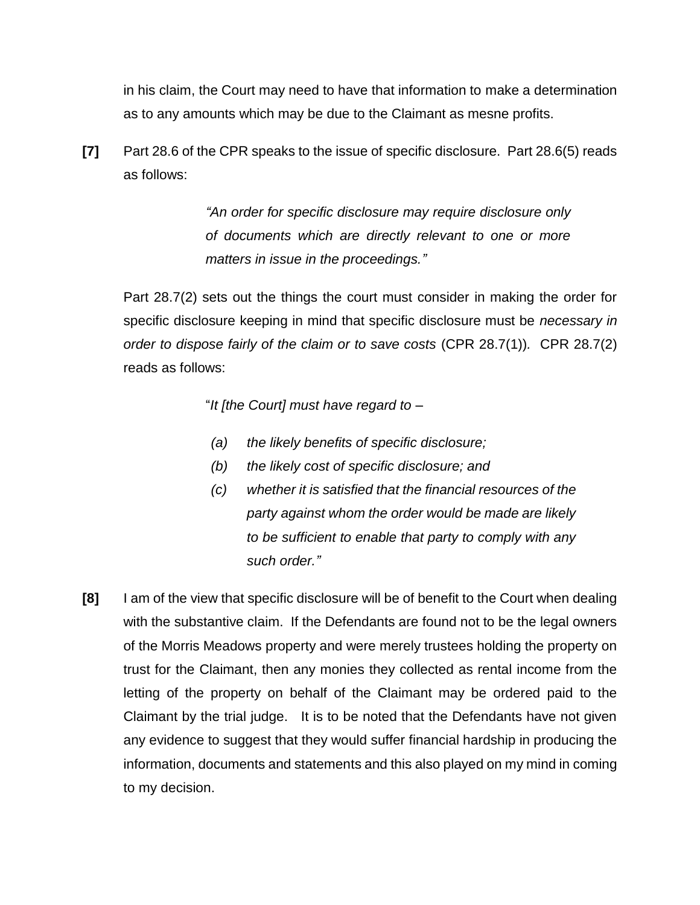in his claim, the Court may need to have that information to make a determination as to any amounts which may be due to the Claimant as mesne profits.

**[7]** Part 28.6 of the CPR speaks to the issue of specific disclosure. Part 28.6(5) reads as follows:

> *"An order for specific disclosure may require disclosure only of documents which are directly relevant to one or more matters in issue in the proceedings."*

Part 28.7(2) sets out the things the court must consider in making the order for specific disclosure keeping in mind that specific disclosure must be *necessary in order to dispose fairly of the claim or to save costs* (CPR 28.7(1))*.* CPR 28.7(2) reads as follows:

"*It [the Court] must have regard to –*

- *(a) the likely benefits of specific disclosure;*
- *(b) the likely cost of specific disclosure; and*
- *(c) whether it is satisfied that the financial resources of the party against whom the order would be made are likely to be sufficient to enable that party to comply with any such order."*
- **[8]** I am of the view that specific disclosure will be of benefit to the Court when dealing with the substantive claim. If the Defendants are found not to be the legal owners of the Morris Meadows property and were merely trustees holding the property on trust for the Claimant, then any monies they collected as rental income from the letting of the property on behalf of the Claimant may be ordered paid to the Claimant by the trial judge. It is to be noted that the Defendants have not given any evidence to suggest that they would suffer financial hardship in producing the information, documents and statements and this also played on my mind in coming to my decision.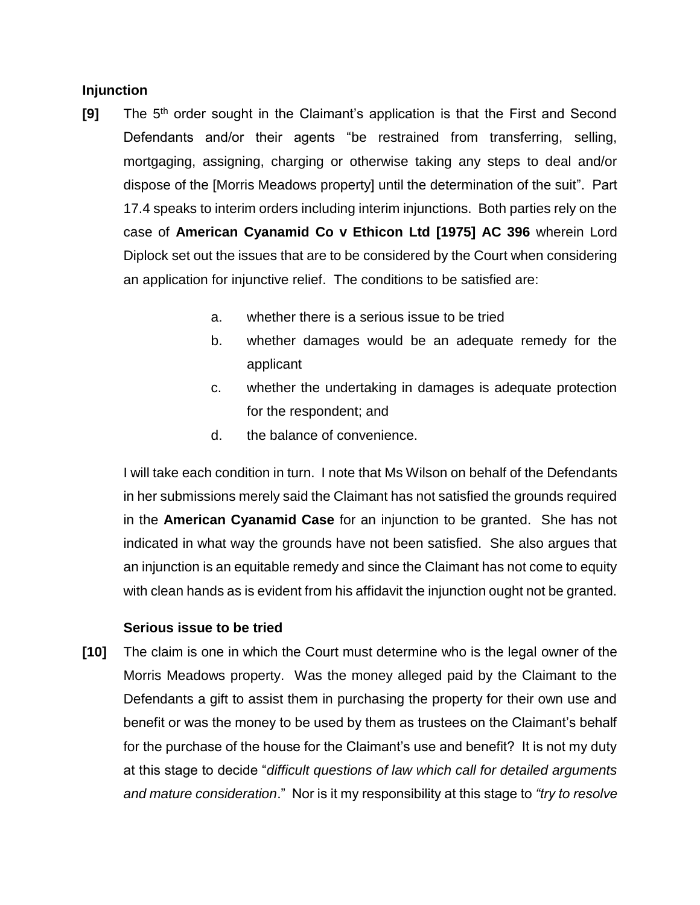## **Injunction**

- **[9]** The 5<sup>th</sup> order sought in the Claimant's application is that the First and Second Defendants and/or their agents "be restrained from transferring, selling, mortgaging, assigning, charging or otherwise taking any steps to deal and/or dispose of the [Morris Meadows property] until the determination of the suit". Part 17.4 speaks to interim orders including interim injunctions. Both parties rely on the case of **American Cyanamid Co v Ethicon Ltd [1975] AC 396** wherein Lord Diplock set out the issues that are to be considered by the Court when considering an application for injunctive relief. The conditions to be satisfied are:
	- a. whether there is a serious issue to be tried
	- b. whether damages would be an adequate remedy for the applicant
	- c. whether the undertaking in damages is adequate protection for the respondent; and
	- d. the balance of convenience.

I will take each condition in turn. I note that Ms Wilson on behalf of the Defendants in her submissions merely said the Claimant has not satisfied the grounds required in the **American Cyanamid Case** for an injunction to be granted. She has not indicated in what way the grounds have not been satisfied. She also argues that an injunction is an equitable remedy and since the Claimant has not come to equity with clean hands as is evident from his affidavit the injunction ought not be granted.

## **Serious issue to be tried**

**[10]** The claim is one in which the Court must determine who is the legal owner of the Morris Meadows property. Was the money alleged paid by the Claimant to the Defendants a gift to assist them in purchasing the property for their own use and benefit or was the money to be used by them as trustees on the Claimant's behalf for the purchase of the house for the Claimant's use and benefit? It is not my duty at this stage to decide "*difficult questions of law which call for detailed arguments and mature consideration*." Nor is it my responsibility at this stage to *"try to resolve*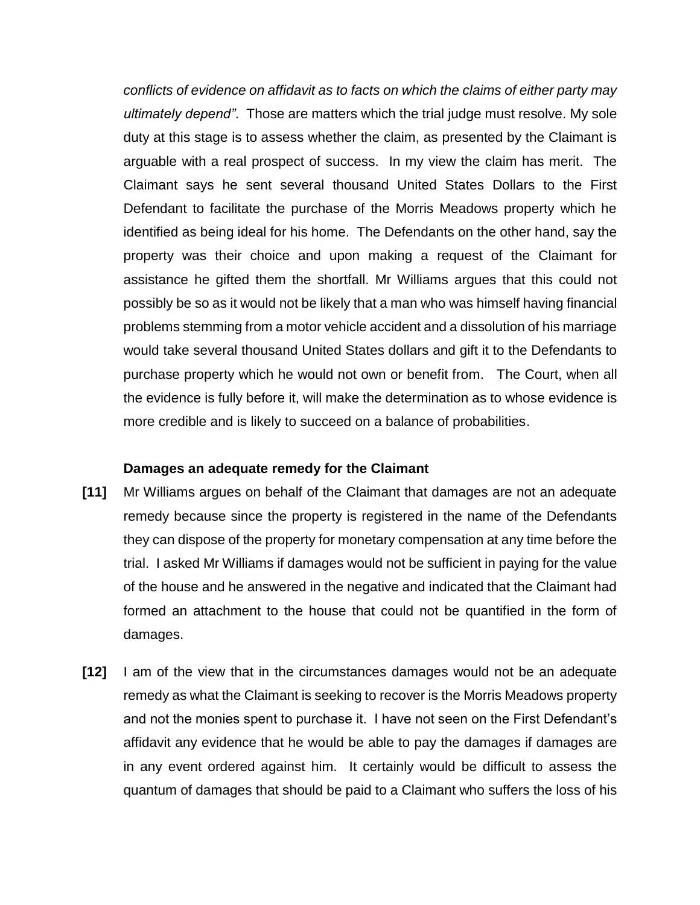*conflicts of evidence on affidavit as to facts on which the claims of either party may ultimately depend"*. Those are matters which the trial judge must resolve. My sole duty at this stage is to assess whether the claim, as presented by the Claimant is arguable with a real prospect of success. In my view the claim has merit. The Claimant says he sent several thousand United States Dollars to the First Defendant to facilitate the purchase of the Morris Meadows property which he identified as being ideal for his home. The Defendants on the other hand, say the property was their choice and upon making a request of the Claimant for assistance he gifted them the shortfall. Mr Williams argues that this could not possibly be so as it would not be likely that a man who was himself having financial problems stemming from a motor vehicle accident and a dissolution of his marriage would take several thousand United States dollars and gift it to the Defendants to purchase property which he would not own or benefit from. The Court, when all the evidence is fully before it, will make the determination as to whose evidence is more credible and is likely to succeed on a balance of probabilities.

#### **Damages an adequate remedy for the Claimant**

- **[11]** Mr Williams argues on behalf of the Claimant that damages are not an adequate remedy because since the property is registered in the name of the Defendants they can dispose of the property for monetary compensation at any time before the trial. I asked Mr Williams if damages would not be sufficient in paying for the value of the house and he answered in the negative and indicated that the Claimant had formed an attachment to the house that could not be quantified in the form of damages.
- **[12]** I am of the view that in the circumstances damages would not be an adequate remedy as what the Claimant is seeking to recover is the Morris Meadows property and not the monies spent to purchase it. I have not seen on the First Defendant's affidavit any evidence that he would be able to pay the damages if damages are in any event ordered against him. It certainly would be difficult to assess the quantum of damages that should be paid to a Claimant who suffers the loss of his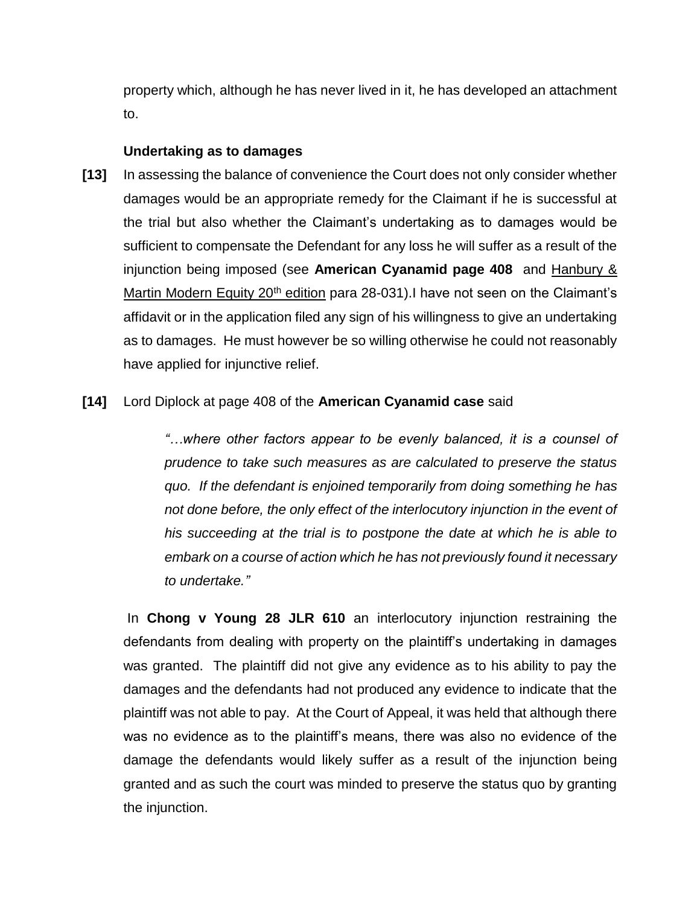property which, although he has never lived in it, he has developed an attachment to.

## **Undertaking as to damages**

**[13]** In assessing the balance of convenience the Court does not only consider whether damages would be an appropriate remedy for the Claimant if he is successful at the trial but also whether the Claimant's undertaking as to damages would be sufficient to compensate the Defendant for any loss he will suffer as a result of the injunction being imposed (see **American Cyanamid page 408** and Hanbury & Martin Modern Equity  $20<sup>th</sup>$  edition para 28-031). I have not seen on the Claimant's affidavit or in the application filed any sign of his willingness to give an undertaking as to damages. He must however be so willing otherwise he could not reasonably have applied for injunctive relief.

## **[14]** Lord Diplock at page 408 of the **American Cyanamid case** said

*"…where other factors appear to be evenly balanced, it is a counsel of prudence to take such measures as are calculated to preserve the status quo. If the defendant is enjoined temporarily from doing something he has not done before, the only effect of the interlocutory injunction in the event of his succeeding at the trial is to postpone the date at which he is able to embark on a course of action which he has not previously found it necessary to undertake."*

In **Chong v Young 28 JLR 610** an interlocutory injunction restraining the defendants from dealing with property on the plaintiff's undertaking in damages was granted. The plaintiff did not give any evidence as to his ability to pay the damages and the defendants had not produced any evidence to indicate that the plaintiff was not able to pay. At the Court of Appeal, it was held that although there was no evidence as to the plaintiff's means, there was also no evidence of the damage the defendants would likely suffer as a result of the injunction being granted and as such the court was minded to preserve the status quo by granting the injunction.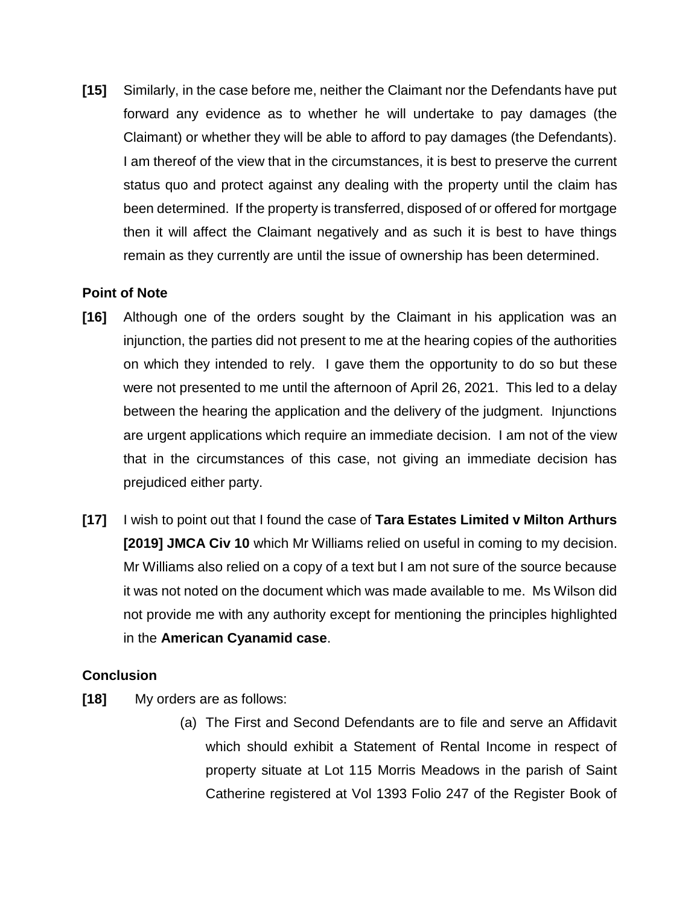**[15]** Similarly, in the case before me, neither the Claimant nor the Defendants have put forward any evidence as to whether he will undertake to pay damages (the Claimant) or whether they will be able to afford to pay damages (the Defendants). I am thereof of the view that in the circumstances, it is best to preserve the current status quo and protect against any dealing with the property until the claim has been determined. If the property is transferred, disposed of or offered for mortgage then it will affect the Claimant negatively and as such it is best to have things remain as they currently are until the issue of ownership has been determined.

## **Point of Note**

- **[16]** Although one of the orders sought by the Claimant in his application was an injunction, the parties did not present to me at the hearing copies of the authorities on which they intended to rely. I gave them the opportunity to do so but these were not presented to me until the afternoon of April 26, 2021. This led to a delay between the hearing the application and the delivery of the judgment. Injunctions are urgent applications which require an immediate decision. I am not of the view that in the circumstances of this case, not giving an immediate decision has prejudiced either party.
- **[17]** I wish to point out that I found the case of **Tara Estates Limited v Milton Arthurs [2019] JMCA Civ 10** which Mr Williams relied on useful in coming to my decision. Mr Williams also relied on a copy of a text but I am not sure of the source because it was not noted on the document which was made available to me. Ms Wilson did not provide me with any authority except for mentioning the principles highlighted in the **American Cyanamid case**.

## **Conclusion**

- **[18]** My orders are as follows:
	- (a) The First and Second Defendants are to file and serve an Affidavit which should exhibit a Statement of Rental Income in respect of property situate at Lot 115 Morris Meadows in the parish of Saint Catherine registered at Vol 1393 Folio 247 of the Register Book of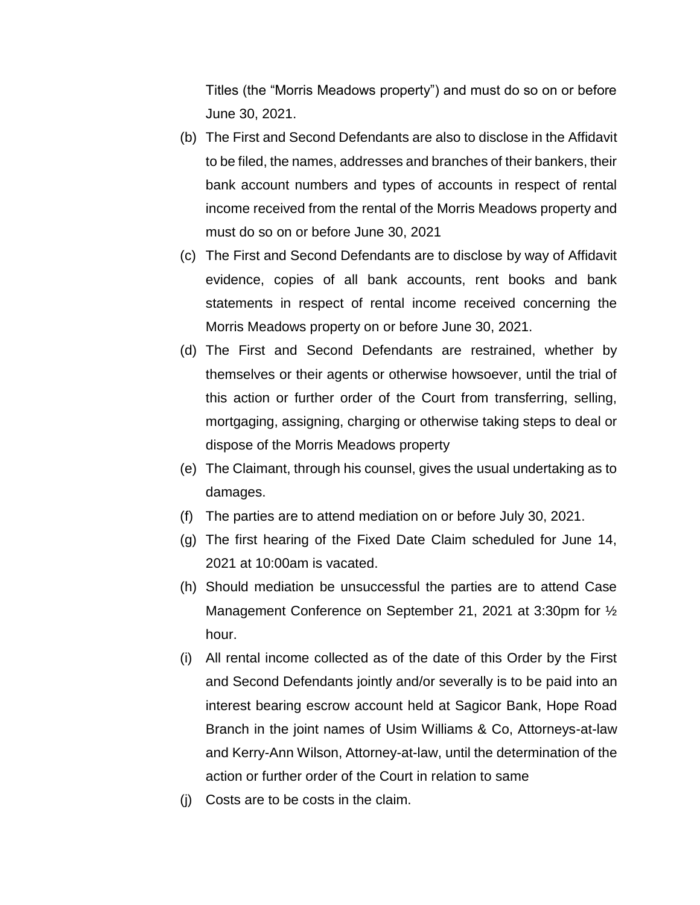Titles (the "Morris Meadows property") and must do so on or before June 30, 2021.

- (b) The First and Second Defendants are also to disclose in the Affidavit to be filed, the names, addresses and branches of their bankers, their bank account numbers and types of accounts in respect of rental income received from the rental of the Morris Meadows property and must do so on or before June 30, 2021
- (c) The First and Second Defendants are to disclose by way of Affidavit evidence, copies of all bank accounts, rent books and bank statements in respect of rental income received concerning the Morris Meadows property on or before June 30, 2021.
- (d) The First and Second Defendants are restrained, whether by themselves or their agents or otherwise howsoever, until the trial of this action or further order of the Court from transferring, selling, mortgaging, assigning, charging or otherwise taking steps to deal or dispose of the Morris Meadows property
- (e) The Claimant, through his counsel, gives the usual undertaking as to damages.
- (f) The parties are to attend mediation on or before July 30, 2021.
- (g) The first hearing of the Fixed Date Claim scheduled for June 14, 2021 at 10:00am is vacated.
- (h) Should mediation be unsuccessful the parties are to attend Case Management Conference on September 21, 2021 at 3:30pm for ½ hour.
- (i) All rental income collected as of the date of this Order by the First and Second Defendants jointly and/or severally is to be paid into an interest bearing escrow account held at Sagicor Bank, Hope Road Branch in the joint names of Usim Williams & Co, Attorneys-at-law and Kerry-Ann Wilson, Attorney-at-law, until the determination of the action or further order of the Court in relation to same
- (j) Costs are to be costs in the claim.